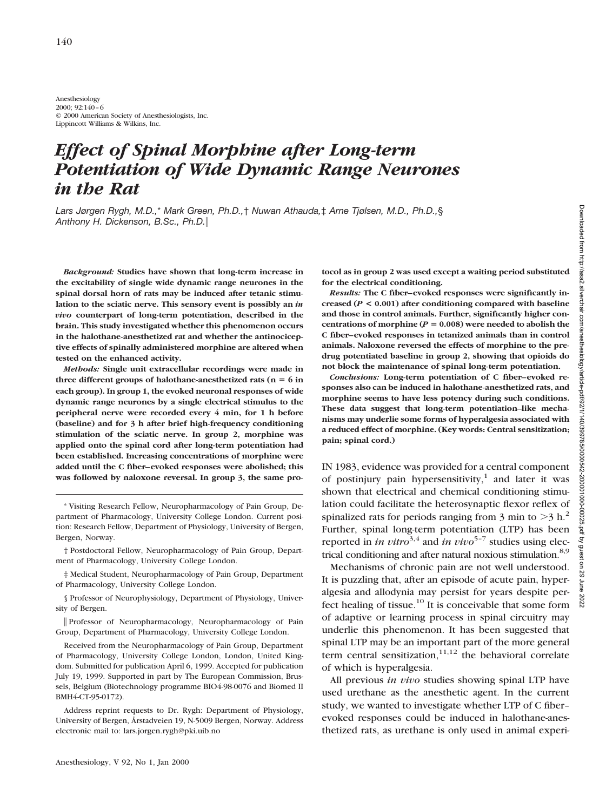Anesthesiology 2000; 92:140–6 © 2000 American Society of Anesthesiologists, Inc. Lippincott Williams & Wilkins, Inc.

# *Effect of Spinal Morphine after Long-term Potentiation of Wide Dynamic Range Neurones in the Rat*

*Lars Jørgen Rygh, M.D.,*\* *Mark Green, Ph.D.,*† *Nuwan Athauda,*‡ *Arne Tjølsen, M.D., Ph.D.,*§ *Anthony H. Dickenson, B.Sc., Ph.D.*i

*Background:* **Studies have shown that long-term increase in the excitability of single wide dynamic range neurones in the spinal dorsal horn of rats may be induced after tetanic stimulation to the sciatic nerve. This sensory event is possibly an** *in vivo* **counterpart of long-term potentiation, described in the brain. This study investigated whether this phenomenon occurs in the halothane-anesthetized rat and whether the antinociceptive effects of spinally administered morphine are altered when tested on the enhanced activity.**

*Methods:* **Single unit extracellular recordings were made in** three different groups of halothane-anesthetized rats  $(n = 6$  in **each group). In group 1, the evoked neuronal responses of wide dynamic range neurones by a single electrical stimulus to the peripheral nerve were recorded every 4 min, for 1 h before (baseline) and for 3 h after brief high-frequency conditioning stimulation of the sciatic nerve. In group 2, morphine was applied onto the spinal cord after long-term potentiation had been established. Increasing concentrations of morphine were added until the C fiber–evoked responses were abolished; this was followed by naloxone reversal. In group 3, the same pro-**

\* Visiting Research Fellow, Neuropharmacology of Pain Group, Department of Pharmacology, University College London. Current position: Research Fellow, Department of Physiology, University of Bergen, Bergen, Norway.

† Postdoctoral Fellow, Neuropharmacology of Pain Group, Department of Pharmacology, University College London.

‡ Medical Student, Neuropharmacology of Pain Group, Department of Pharmacology, University College London.

§ Professor of Neurophysiology, Department of Physiology, University of Bergen.

i Professor of Neuropharmacology, Neuropharmacology of Pain Group, Department of Pharmacology, University College London.

Received from the Neuropharmacology of Pain Group, Department of Pharmacology, University College London, London, United Kingdom. Submitted for publication April 6, 1999. Accepted for publication July 19, 1999. Supported in part by The European Commission, Brussels, Belgium (Biotechnology programme BIO4-98-0076 and Biomed II BMH4-CT-95-0172).

Address reprint requests to Dr. Rygh: Department of Physiology, University of Bergen, Årstadveien 19, N-5009 Bergen, Norway. Address electronic mail to: lars.jorgen.rygh@pki.uib.no

**tocol as in group 2 was used except a waiting period substituted for the electrical conditioning.**

*Results:* **The C fiber–evoked responses were significantly increased (***P* **< 0.001) after conditioning compared with baseline and those in control animals. Further, significantly higher con**centrations of morphine ( $P = 0.008$ ) were needed to abolish the **C fiber–evoked responses in tetanized animals than in control animals. Naloxone reversed the effects of morphine to the predrug potentiated baseline in group 2, showing that opioids do not block the maintenance of spinal long-term potentiation.**

*Conclusions:* **Long-term potentiation of C fiber–evoked responses also can be induced in halothane-anesthetized rats, and morphine seems to have less potency during such conditions. These data suggest that long-term potentiation–like mechanisms may underlie some forms of hyperalgesia associated with a reduced effect of morphine. (Key words: Central sensitization; pain; spinal cord.)**

IN 1983, evidence was provided for a central component of postinjury pain hypersensitivity,<sup>1</sup> and later it was shown that electrical and chemical conditioning stimulation could facilitate the heterosynaptic flexor reflex of spinalized rats for periods ranging from 3 min to  $>3$  h.<sup>2</sup> Further, spinal long-term potentiation (LTP) has been reported in *in vitro*<sup>3,4</sup> and *in vivo*<sup>5-7</sup> studies using electrical conditioning and after natural noxious stimulation.<sup>8,9</sup>

Mechanisms of chronic pain are not well understood. It is puzzling that, after an episode of acute pain, hyperalgesia and allodynia may persist for years despite perfect healing of tissue. $10$  It is conceivable that some form of adaptive or learning process in spinal circuitry may underlie this phenomenon. It has been suggested that spinal LTP may be an important part of the more general term central sensitization, $11,12$  the behavioral correlate of which is hyperalgesia.

All previous *in vivo* studies showing spinal LTP have used urethane as the anesthetic agent. In the current study, we wanted to investigate whether LTP of C fiber– evoked responses could be induced in halothane-anesthetized rats, as urethane is only used in animal experi-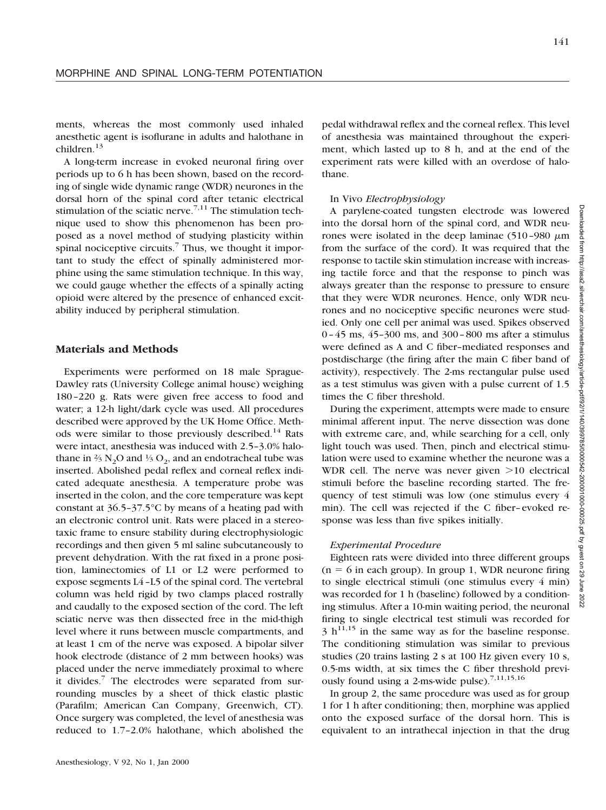ments, whereas the most commonly used inhaled anesthetic agent is isoflurane in adults and halothane in children.<sup>13</sup>

A long-term increase in evoked neuronal firing over periods up to 6 h has been shown, based on the recording of single wide dynamic range (WDR) neurones in the dorsal horn of the spinal cord after tetanic electrical stimulation of the sciatic nerve.<sup> $7,11$ </sup> The stimulation technique used to show this phenomenon has been proposed as a novel method of studying plasticity within spinal nociceptive circuits.<sup>7</sup> Thus, we thought it important to study the effect of spinally administered morphine using the same stimulation technique. In this way, we could gauge whether the effects of a spinally acting opioid were altered by the presence of enhanced excitability induced by peripheral stimulation.

#### **Materials and Methods**

Experiments were performed on 18 male Sprague-Dawley rats (University College animal house) weighing 180–220 g. Rats were given free access to food and water; a 12-h light/dark cycle was used. All procedures described were approved by the UK Home Office. Methods were similar to those previously described.<sup>14</sup> Rats were intact, anesthesia was induced with 2.5–3.0% halothane in  $\frac{2}{3}$  N<sub>2</sub>O and  $\frac{1}{3}$  O<sub>2</sub>, and an endotracheal tube was inserted. Abolished pedal reflex and corneal reflex indicated adequate anesthesia. A temperature probe was inserted in the colon, and the core temperature was kept constant at  $36.5 - 37.5$ °C by means of a heating pad with an electronic control unit. Rats were placed in a stereotaxic frame to ensure stability during electrophysiologic recordings and then given 5 ml saline subcutaneously to prevent dehydration. With the rat fixed in a prone position, laminectomies of L1 or L2 were performed to expose segments L4–L5 of the spinal cord. The vertebral column was held rigid by two clamps placed rostrally and caudally to the exposed section of the cord. The left sciatic nerve was then dissected free in the mid-thigh level where it runs between muscle compartments, and at least 1 cm of the nerve was exposed. A bipolar silver hook electrode (distance of 2 mm between hooks) was placed under the nerve immediately proximal to where it divides.<sup>7</sup> The electrodes were separated from surrounding muscles by a sheet of thick elastic plastic (Parafilm; American Can Company, Greenwich, CT). Once surgery was completed, the level of anesthesia was reduced to 1.7–2.0% halothane, which abolished the

experiment rats were killed with an overdose of halothane. In Vivo *Electrophysiology* A parylene-coated tungsten electrode was lowered

into the dorsal horn of the spinal cord, and WDR neurones were isolated in the deep laminae  $(510-980 \mu m)$ from the surface of the cord). It was required that the response to tactile skin stimulation increase with increasing tactile force and that the response to pinch was always greater than the response to pressure to ensure that they were WDR neurones. Hence, only WDR neurones and no nociceptive specific neurones were studied. Only one cell per animal was used. Spikes observed 0–45 ms, 45–300 ms, and 300–800 ms after a stimulus were defined as A and C fiber–mediated responses and postdischarge (the firing after the main C fiber band of activity), respectively. The 2-ms rectangular pulse used as a test stimulus was given with a pulse current of 1.5 times the C fiber threshold.

pedal withdrawal reflex and the corneal reflex. This level of anesthesia was maintained throughout the experiment, which lasted up to 8 h, and at the end of the

During the experiment, attempts were made to ensure minimal afferent input. The nerve dissection was done with extreme care, and, while searching for a cell, only light touch was used. Then, pinch and electrical stimulation were used to examine whether the neurone was a WDR cell. The nerve was never given  $>10$  electrical stimuli before the baseline recording started. The frequency of test stimuli was low (one stimulus every 4 min). The cell was rejected if the C fiber–evoked response was less than five spikes initially.

#### *Experimental Procedure*

Eighteen rats were divided into three different groups  $(n = 6$  in each group). In group 1, WDR neurone firing to single electrical stimuli (one stimulus every 4 min) was recorded for 1 h (baseline) followed by a conditioning stimulus. After a 10-min waiting period, the neuronal firing to single electrical test stimuli was recorded for  $3 h^{11,15}$  in the same way as for the baseline response. The conditioning stimulation was similar to previous studies (20 trains lasting 2 s at 100 Hz given every 10 s, 0.5-ms width, at six times the C fiber threshold previously found using a 2-ms-wide pulse).<sup>7,11,15,16</sup>

In group 2, the same procedure was used as for group 1 for 1 h after conditioning; then, morphine was applied onto the exposed surface of the dorsal horn. This is equivalent to an intrathecal injection in that the drug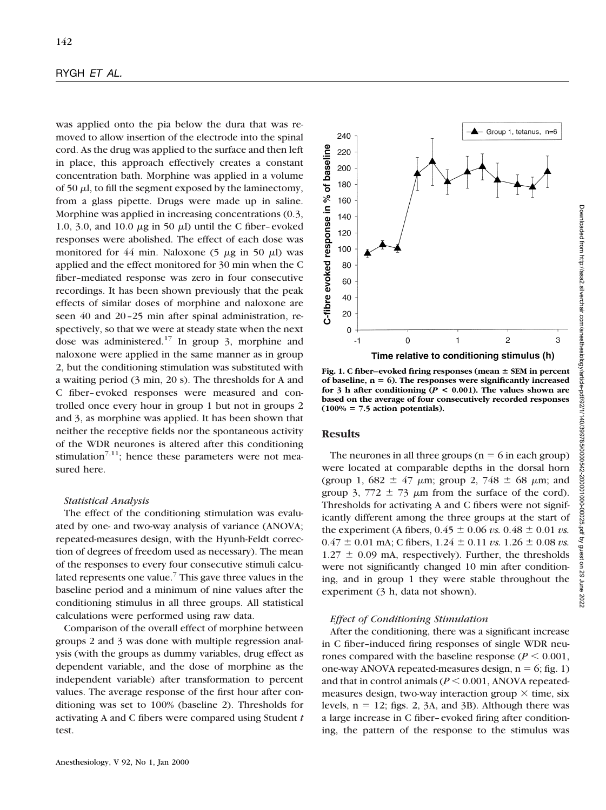#### RYGH *ET AL.*

was applied onto the pia below the dura that was removed to allow insertion of the electrode into the spinal cord. As the drug was applied to the surface and then left in place, this approach effectively creates a constant concentration bath. Morphine was applied in a volume of 50  $\mu$ l, to fill the segment exposed by the laminectomy, from a glass pipette. Drugs were made up in saline. Morphine was applied in increasing concentrations (0.3, 1.0, 3.0, and 10.0  $\mu$ g in 50  $\mu$ ) until the C fiber–evoked responses were abolished. The effect of each dose was monitored for 44 min. Naloxone  $(5 \mu g \text{ in } 50 \mu l)$  was applied and the effect monitored for 30 min when the C fiber–mediated response was zero in four consecutive recordings. It has been shown previously that the peak effects of similar doses of morphine and naloxone are seen 40 and 20–25 min after spinal administration, respectively, so that we were at steady state when the next dose was administered.<sup>17</sup> In group 3, morphine and naloxone were applied in the same manner as in group 2, but the conditioning stimulation was substituted with a waiting period (3 min, 20 s). The thresholds for A and C fiber–evoked responses were measured and controlled once every hour in group 1 but not in groups 2 and 3, as morphine was applied. It has been shown that neither the receptive fields nor the spontaneous activity of the WDR neurones is altered after this conditioning stimulation<sup>7,11</sup>; hence these parameters were not measured here.

#### *Statistical Analysis*

The effect of the conditioning stimulation was evaluated by one- and two-way analysis of variance (ANOVA; repeated-measures design, with the Hyunh-Feldt correction of degrees of freedom used as necessary). The mean of the responses to every four consecutive stimuli calculated represents one value.<sup>7</sup> This gave three values in the baseline period and a minimum of nine values after the conditioning stimulus in all three groups. All statistical calculations were performed using raw data.

Comparison of the overall effect of morphine between groups 2 and 3 was done with multiple regression analysis (with the groups as dummy variables, drug effect as dependent variable, and the dose of morphine as the independent variable) after transformation to percent values. The average response of the first hour after conditioning was set to 100% (baseline 2). Thresholds for activating A and C fibers were compared using Student *t* test.



Fig. 1. C fiber–evoked firing responses (mean  $\pm$  SEM in percent **of baseline, n** 5 **6). The responses were significantly increased for 3 h after conditioning (***P* **< 0.001). The values shown are based on the average of four consecutively recorded responses**  $(100\% = 7.5 \text{ action potentials}).$ 

## **Results**

The neurones in all three groups ( $n = 6$  in each group) were located at comparable depths in the dorsal horn (group 1, 682  $\pm$  47  $\mu$ m; group 2, 748  $\pm$  68  $\mu$ m; and group 3, 772  $\pm$  73  $\mu$ m from the surface of the cord). Thresholds for activating A and C fibers were not significantly different among the three groups at the start of the experiment (A fibers,  $0.45 \pm 0.06 \text{ vs. } 0.48 \pm 0.01 \text{ vs.}$ )  $0.47 \pm 0.01$  mA; C fibers,  $1.24 \pm 0.11$  *vs.*  $1.26 \pm 0.08$  *vs.*  $1.27 \pm 0.09$  mA, respectively). Further, the thresholds were not significantly changed 10 min after conditioning, and in group 1 they were stable throughout the experiment (3 h, data not shown).

#### *Effect of Conditioning Stimulation*

After the conditioning, there was a significant increase in C fiber–induced firing responses of single WDR neurones compared with the baseline response  $(P \le 0.001$ , one-way ANOVA repeated-measures design,  $n = 6$ ; fig. 1) and that in control animals  $(P \le 0.001, ANOVA$  repeatedmeasures design, two-way interaction group  $\times$  time, six levels,  $n = 12$ ; figs. 2, 3A, and 3B). Although there was a large increase in C fiber–evoked firing after conditioning, the pattern of the response to the stimulus was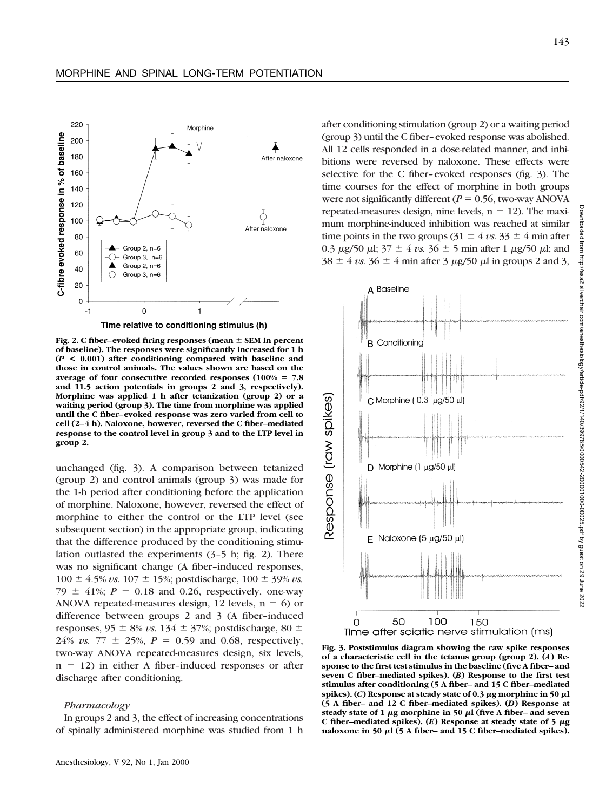

Time relative to conditioning stimulus (h)

Fig. 2. C fiber–evoked firing responses (mean  $\pm$  SEM in percent **of baseline). The responses were significantly increased for 1 h (***P* **< 0.001) after conditioning compared with baseline and those in control animals. The values shown are based on the** average of four consecutive recorded responses  $(100\% = 7.8$ **and 11.5 action potentials in groups 2 and 3, respectively). Morphine was applied 1 h after tetanization (group 2) or a waiting period (group 3). The time from morphine was applied until the C fiber–evoked response was zero varied from cell to cell (2–4 h). Naloxone, however, reversed the C fiber–mediated response to the control level in group 3 and to the LTP level in group 2.**

unchanged (fig. 3). A comparison between tetanized (group 2) and control animals (group 3) was made for the 1-h period after conditioning before the application of morphine. Naloxone, however, reversed the effect of morphine to either the control or the LTP level (see subsequent section) in the appropriate group, indicating that the difference produced by the conditioning stimulation outlasted the experiments (3–5 h; fig. 2). There was no significant change (A fiber–induced responses,  $100 \pm 4.5\% \text{ vs. } 107 \pm 15\%$ ; postdischarge,  $100 \pm 39\% \text{ vs. } 100$ 79  $\pm$  41%; *P* = 0.18 and 0.26, respectively, one-way ANOVA repeated-measures design, 12 levels,  $n = 6$ ) or difference between groups 2 and 3 (A fiber–induced responses,  $95 \pm 8\% vs. 134 \pm 37\%$ ; postdischarge,  $80 \pm$ 24% *vs.* 77  $\pm$  25%, *P* = 0.59 and 0.68, respectively, two-way ANOVA repeated-measures design, six levels,  $n = 12$ ) in either A fiber-induced responses or after discharge after conditioning.

### *Pharmacology*

In groups 2 and 3, the effect of increasing concentrations of spinally administered morphine was studied from 1 h after conditioning stimulation (group 2) or a waiting period (group 3) until the C fiber–evoked response was abolished. All 12 cells responded in a dose-related manner, and inhibitions were reversed by naloxone. These effects were selective for the C fiber–evoked responses (fig. 3). The time courses for the effect of morphine in both groups were not significantly different ( $P = 0.56$ , two-way ANOVA repeated-measures design, nine levels,  $n = 12$ ). The maximum morphine-induced inhibition was reached at similar time points in the two groups  $(31 \pm 4 \text{ vs. } 33 \pm 4 \text{ min after})$ 0.3  $\mu$ g/50  $\mu$ l; 37  $\pm$  4 *vs.* 36  $\pm$  5 min after 1  $\mu$ g/50  $\mu$ l; and  $38 \pm 4$  *vs.*  $36 \pm 4$  min after 3  $\mu$ g/50  $\mu$ l in groups 2 and 3,



Downloaded from http://asa2.silverchair.com/anesthesiology/article-pdf/92/1/140/399785/0000542-200001000-00025.pdf by guest on 29 June 2022from http://asa2.silverchair.com/anesthesiology/article-pdf/92/1/140/399785/0000542-200001000-00026.pdf by guest on 29 June 2022

**Fig. 3. Poststimulus diagram showing the raw spike responses of a characteristic cell in the tetanus group (group 2). (***A***) Response to the first test stimulus in the baseline (five A fiber– and seven C fiber–mediated spikes). (***B***) Response to the first test stimulus after conditioning (5 A fiber– and 15 C fiber–mediated** spikes). (*C*) Response at steady state of 0.3  $\mu$ g morphine in 50  $\mu$ l **(5 A fiber– and 12 C fiber–mediated spikes). (***D***) Response at** steady state of 1  $\mu$ g morphine in 50  $\mu$ l (five A fiber– and seven C fiber-mediated spikes).  $(E)$  Response at steady state of 5  $\mu$ g naloxone in 50  $\mu$ l (5 A fiber– and 15 C fiber–mediated spikes).

wnloaded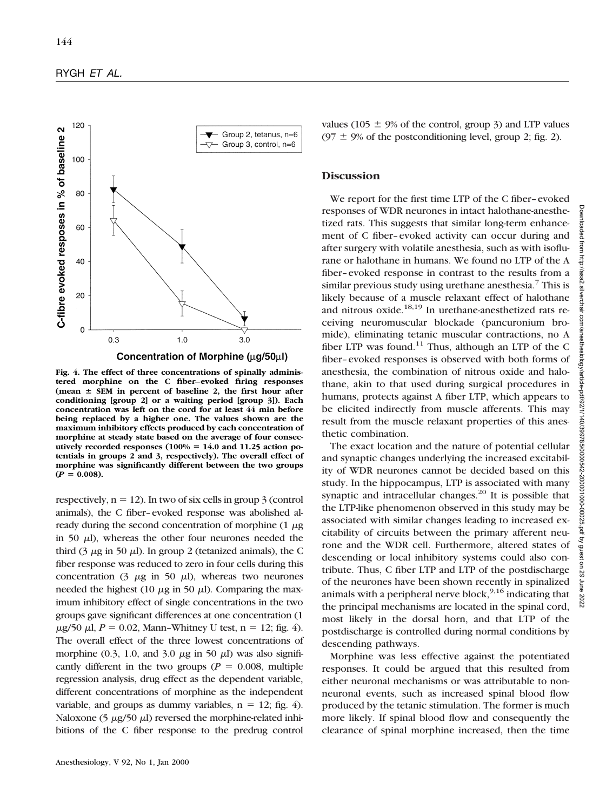

**Fig. 4. The effect of three concentrations of spinally administered morphine on the C fiber–evoked firing responses**  $(mean \pm SEM in percent of baseline 2, the first hour after)$ **conditioning [group 2] or a waiting period [group 3]). Each concentration was left on the cord for at least 44 min before being replaced by a higher one. The values shown are the maximum inhibitory effects produced by each concentration of morphine at steady state based on the average of four consec**utively recorded responses (100% = 14.0 and 11.25 action po**tentials in groups 2 and 3, respectively). The overall effect of morphine was significantly different between the two groups**  $(P = 0.008)$ .

respectively,  $n = 12$ ). In two of six cells in group 3 (control animals), the C fiber–evoked response was abolished already during the second concentration of morphine  $(1 \mu g)$ in 50  $\mu$ ), whereas the other four neurones needed the third (3  $\mu$ g in 50  $\mu$ l). In group 2 (tetanized animals), the C fiber response was reduced to zero in four cells during this concentration (3  $\mu$ g in 50  $\mu$ l), whereas two neurones needed the highest (10  $\mu$ g in 50  $\mu$ ). Comparing the maximum inhibitory effect of single concentrations in the two groups gave significant differences at one concentration (1  $\mu$ g/50  $\mu$ l, *P* = 0.02, Mann-Whitney U test, n = 12; fig. 4). The overall effect of the three lowest concentrations of morphine (0.3, 1.0, and 3.0  $\mu$ g in 50  $\mu$ ) was also significantly different in the two groups ( $P = 0.008$ , multiple regression analysis, drug effect as the dependent variable, different concentrations of morphine as the independent variable, and groups as dummy variables,  $n = 12$ ; fig. 4). Naloxone (5  $\mu$ g/50  $\mu$ l) reversed the morphine-related inhibitions of the C fiber response to the predrug control

values (105  $\pm$  9% of the control, group 3) and LTP values  $(97 \pm 9\%$  of the postconditioning level, group 2; fig. 2).

### **Discussion**

We report for the first time LTP of the C fiber–evoked responses of WDR neurones in intact halothane-anesthetized rats. This suggests that similar long-term enhancement of C fiber–evoked activity can occur during and after surgery with volatile anesthesia, such as with isoflurane or halothane in humans. We found no LTP of the A fiber–evoked response in contrast to the results from a similar previous study using urethane anesthesia.<sup>7</sup> This is likely because of a muscle relaxant effect of halothane and nitrous oxide.<sup>18,19</sup> In urethane-anesthetized rats receiving neuromuscular blockade (pancuronium bromide), eliminating tetanic muscular contractions, no A fiber LTP was found.<sup>11</sup> Thus, although an LTP of the C fiber–evoked responses is observed with both forms of anesthesia, the combination of nitrous oxide and halothane, akin to that used during surgical procedures in humans, protects against A fiber LTP, which appears to be elicited indirectly from muscle afferents. This may result from the muscle relaxant properties of this anesthetic combination.

The exact location and the nature of potential cellular and synaptic changes underlying the increased excitability of WDR neurones cannot be decided based on this study. In the hippocampus, LTP is associated with many synaptic and intracellular changes. $^{20}$  It is possible that the LTP-like phenomenon observed in this study may be associated with similar changes leading to increased excitability of circuits between the primary afferent neurone and the WDR cell. Furthermore, altered states of descending or local inhibitory systems could also contribute. Thus, C fiber LTP and LTP of the postdischarge of the neurones have been shown recently in spinalized animals with a peripheral nerve block,  $9,16$  indicating that the principal mechanisms are located in the spinal cord, most likely in the dorsal horn, and that LTP of the postdischarge is controlled during normal conditions by descending pathways.

Morphine was less effective against the potentiated responses. It could be argued that this resulted from either neuronal mechanisms or was attributable to nonneuronal events, such as increased spinal blood flow produced by the tetanic stimulation. The former is much more likely. If spinal blood flow and consequently the clearance of spinal morphine increased, then the time **Downloaded**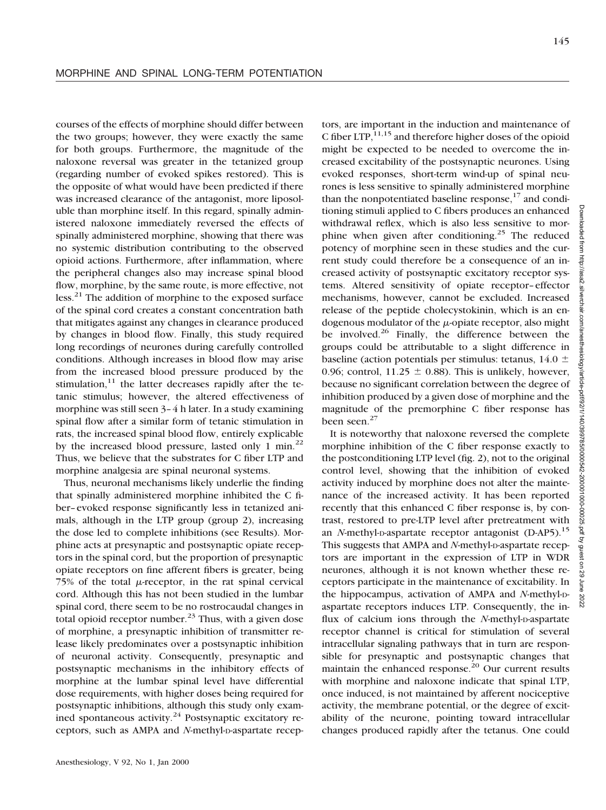courses of the effects of morphine should differ between the two groups; however, they were exactly the same for both groups. Furthermore, the magnitude of the naloxone reversal was greater in the tetanized group (regarding number of evoked spikes restored). This is the opposite of what would have been predicted if there was increased clearance of the antagonist, more liposoluble than morphine itself. In this regard, spinally administered naloxone immediately reversed the effects of spinally administered morphine, showing that there was no systemic distribution contributing to the observed opioid actions. Furthermore, after inflammation, where the peripheral changes also may increase spinal blood flow, morphine, by the same route, is more effective, not less.<sup>21</sup> The addition of morphine to the exposed surface of the spinal cord creates a constant concentration bath that mitigates against any changes in clearance produced by changes in blood flow. Finally, this study required long recordings of neurones during carefully controlled conditions. Although increases in blood flow may arise from the increased blood pressure produced by the stimulation, $11$  the latter decreases rapidly after the tetanic stimulus; however, the altered effectiveness of morphine was still seen 3–4 h later. In a study examining spinal flow after a similar form of tetanic stimulation in rats, the increased spinal blood flow, entirely explicable by the increased blood pressure, lasted only 1 min.<sup>22</sup> Thus, we believe that the substrates for C fiber LTP and morphine analgesia are spinal neuronal systems.

Thus, neuronal mechanisms likely underlie the finding that spinally administered morphine inhibited the C fiber–evoked response significantly less in tetanized animals, although in the LTP group (group 2), increasing the dose led to complete inhibitions (see Results). Morphine acts at presynaptic and postsynaptic opiate receptors in the spinal cord, but the proportion of presynaptic opiate receptors on fine afferent fibers is greater, being 75% of the total  $\mu$ -receptor, in the rat spinal cervical cord. Although this has not been studied in the lumbar spinal cord, there seem to be no rostrocaudal changes in total opioid receptor number. $^{23}$  Thus, with a given dose of morphine, a presynaptic inhibition of transmitter release likely predominates over a postsynaptic inhibition of neuronal activity. Consequently, presynaptic and postsynaptic mechanisms in the inhibitory effects of morphine at the lumbar spinal level have differential dose requirements, with higher doses being required for postsynaptic inhibitions, although this study only examined spontaneous activity. $24$  Postsynaptic excitatory receptors, such as AMPA and *N*-methyl-D-aspartate recep-

tors, are important in the induction and maintenance of C fiber  $LTP$ ,  $11,15$  and therefore higher doses of the opioid might be expected to be needed to overcome the increased excitability of the postsynaptic neurones. Using evoked responses, short-term wind-up of spinal neurones is less sensitive to spinally administered morphine than the nonpotentiated baseline response,  $17$  and conditioning stimuli applied to C fibers produces an enhanced withdrawal reflex, which is also less sensitive to morphine when given after conditioning.<sup>25</sup> The reduced potency of morphine seen in these studies and the current study could therefore be a consequence of an increased activity of postsynaptic excitatory receptor systems. Altered sensitivity of opiate receptor–effector mechanisms, however, cannot be excluded. Increased release of the peptide cholecystokinin, which is an endogenous modulator of the  $\mu$ -opiate receptor, also might be involved. $^{26}$  Finally, the difference between the groups could be attributable to a slight difference in baseline (action potentials per stimulus: tetanus,  $14.0 \pm$ 0.96; control,  $11.25 \pm 0.88$ ). This is unlikely, however, because no significant correlation between the degree of inhibition produced by a given dose of morphine and the magnitude of the premorphine C fiber response has been seen.<sup>27</sup>

It is noteworthy that naloxone reversed the complete morphine inhibition of the C fiber response exactly to the postconditioning LTP level (fig. 2), not to the original control level, showing that the inhibition of evoked activity induced by morphine does not alter the maintenance of the increased activity. It has been reported recently that this enhanced C fiber response is, by contrast, restored to pre-LTP level after pretreatment with an *N*-methyl-p-aspartate receptor antagonist (D-AP5).<sup>15</sup> This suggests that AMPA and *N*-methyl-p-aspartate receptors are important in the expression of LTP in WDR neurones, although it is not known whether these receptors participate in the maintenance of excitability. In the hippocampus, activation of AMPA and *N*-methyl-Daspartate receptors induces LTP. Consequently, the influx of calcium ions through the *N*-methyl-D-aspartate receptor channel is critical for stimulation of several intracellular signaling pathways that in turn are responsible for presynaptic and postsynaptic changes that maintain the enhanced response.<sup>20</sup> Our current results with morphine and naloxone indicate that spinal LTP, once induced, is not maintained by afferent nociceptive activity, the membrane potential, or the degree of excitability of the neurone, pointing toward intracellular changes produced rapidly after the tetanus. One could